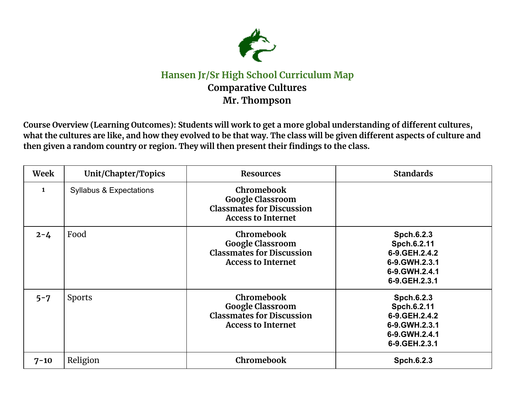

## **Hansen Jr/Sr High School Curriculum Map Comparative Cultures Mr. Thompson**

Course Overview (Learning Outcomes): Students will work to get a more global understanding of different cultures, what the cultures are like, and how they evolved to be that way. The class will be given different aspects of culture and **then given a random country or region. They will then present their findings to the class.**

| Week         | Unit/Chapter/Topics                | <b>Resources</b>                                                                                              | <b>Standards</b>                                                                                   |
|--------------|------------------------------------|---------------------------------------------------------------------------------------------------------------|----------------------------------------------------------------------------------------------------|
| $\mathbf{1}$ | <b>Syllabus &amp; Expectations</b> | <b>Chromebook</b><br><b>Google Classroom</b><br><b>Classmates for Discussion</b><br><b>Access to Internet</b> |                                                                                                    |
| $2 - 4$      | Food                               | Chromebook<br><b>Google Classroom</b><br><b>Classmates for Discussion</b><br><b>Access to Internet</b>        | Spch.6.2.3<br>Spch.6.2.11<br>6-9. GEH. 2.4. 2<br>6-9.GWH.2.3.1<br>6-9.GWH.2.4.1<br>6-9. GEH. 2.3.1 |
| $5 - 7$      | Sports                             | Chromebook<br><b>Google Classroom</b><br><b>Classmates for Discussion</b><br><b>Access to Internet</b>        | Spch.6.2.3<br>Spch.6.2.11<br>6-9. GEH. 2.4. 2<br>6-9.GWH.2.3.1<br>6-9.GWH.2.4.1<br>6-9.GEH.2.3.1   |
| $7 - 10$     | Religion                           | Chromebook                                                                                                    | Spch.6.2.3                                                                                         |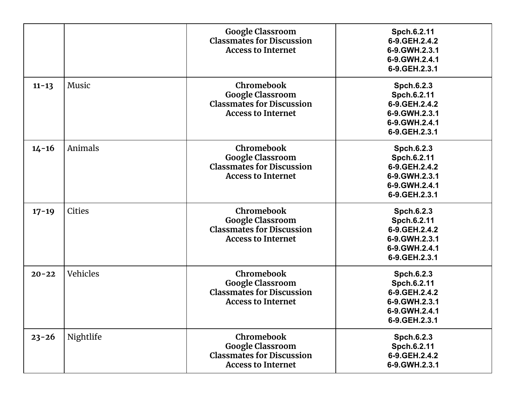|           |               | <b>Google Classroom</b><br><b>Classmates for Discussion</b><br><b>Access to Internet</b>               | Spch.6.2.11<br>6-9.GEH.2.4.2<br>6-9.GWH.2.3.1<br>6-9. GWH. 2.4.1<br>6-9.GEH.2.3.1                  |
|-----------|---------------|--------------------------------------------------------------------------------------------------------|----------------------------------------------------------------------------------------------------|
| $11 - 13$ | Music         | Chromebook<br><b>Google Classroom</b><br><b>Classmates for Discussion</b><br><b>Access to Internet</b> | Spch.6.2.3<br>Spch.6.2.11<br>6-9. GEH. 2.4. 2<br>6-9. GWH. 2.3.1<br>6-9.GWH.2.4.1<br>6-9.GEH.2.3.1 |
| $14 - 16$ | Animals       | Chromebook<br><b>Google Classroom</b><br><b>Classmates for Discussion</b><br><b>Access to Internet</b> | Spch.6.2.3<br>Spch.6.2.11<br>6-9. GEH. 2.4. 2<br>6-9.GWH.2.3.1<br>6-9.GWH.2.4.1<br>6-9.GEH.2.3.1   |
| $17 - 19$ | <b>Cities</b> | Chromebook<br><b>Google Classroom</b><br><b>Classmates for Discussion</b><br><b>Access to Internet</b> | Spch.6.2.3<br>Spch.6.2.11<br>6-9. GEH. 2.4. 2<br>6-9.GWH.2.3.1<br>6-9.GWH.2.4.1<br>6-9.GEH.2.3.1   |
| $20 - 22$ | Vehicles      | Chromebook<br><b>Google Classroom</b><br><b>Classmates for Discussion</b><br><b>Access to Internet</b> | Spch.6.2.3<br>Spch.6.2.11<br>6-9.GEH.2.4.2<br>6-9.GWH.2.3.1<br>6-9.GWH.2.4.1<br>6-9.GEH.2.3.1      |
| $23 - 26$ | Nightlife     | Chromebook<br><b>Google Classroom</b><br><b>Classmates for Discussion</b><br><b>Access to Internet</b> | Spch.6.2.3<br>Spch.6.2.11<br>6-9. GEH. 2.4. 2<br>6-9.GWH.2.3.1                                     |